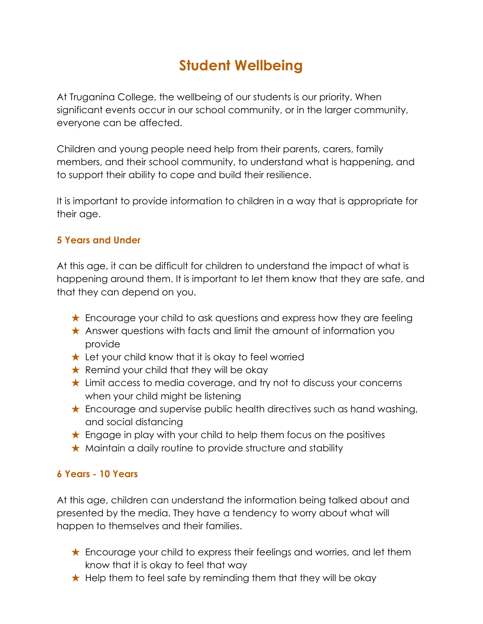# **Student Wellbeing**

At Truganina College, the wellbeing of our students is our priority. When significant events occur in our school community, or in the larger community, everyone can be affected.

Children and young people need help from their parents, carers, family members, and their school community, to understand what is happening, and to support their ability to cope and build their resilience.

It is important to provide information to children in a way that is appropriate for their age.

### **5 Years and Under**

At this age, it can be difficult for children to understand the impact of what is happening around them. It is important to let them know that they are safe, and that they can depend on you.

- ★ Encourage your child to ask questions and express how they are feeling
- ★ Answer questions with facts and limit the amount of information you provide
- $\star$  Let your child know that it is okay to feel worried
- $\star$  Remind your child that they will be okay
- ★ Limit access to media coverage, and try not to discuss your concerns when your child might be listening
- ★ Encourage and supervise public health directives such as hand washing, and social distancing
- $\star$  Engage in play with your child to help them focus on the positives
- ★ Maintain a daily routine to provide structure and stability

### **6 Years - 10 Years**

At this age, children can understand the information being talked about and presented by the media. They have a tendency to worry about what will happen to themselves and their families.

- ★ Encourage your child to express their feelings and worries, and let them know that it is okay to feel that way
- $\star$  Help them to feel safe by reminding them that they will be okay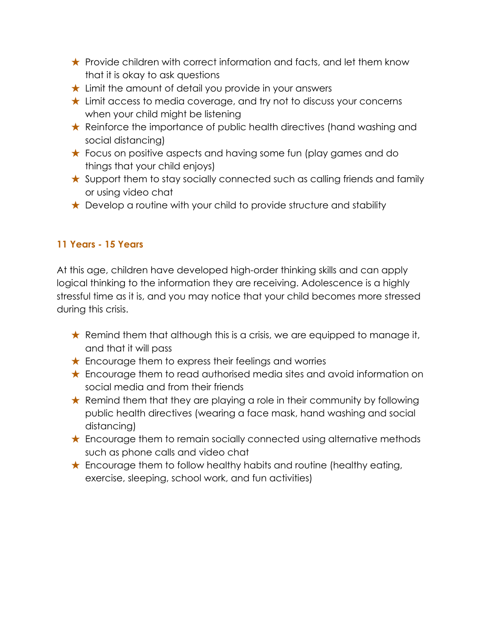- ★ Provide children with correct information and facts, and let them know that it is okay to ask questions
- ★ Limit the amount of detail you provide in your answers
- ★ Limit access to media coverage, and try not to discuss your concerns when your child might be listening
- ★ Reinforce the importance of public health directives (hand washing and social distancing)
- ★ Focus on positive aspects and having some fun (play games and do things that your child enjoys)
- ★ Support them to stay socially connected such as calling friends and family or using video chat
- $\star$  Develop a routine with your child to provide structure and stability

# **11 Years - 15 Years**

At this age, children have developed high-order thinking skills and can apply logical thinking to the information they are receiving. Adolescence is a highly stressful time as it is, and you may notice that your child becomes more stressed during this crisis.

- $\star$  Remind them that although this is a crisis, we are equipped to manage it, and that it will pass
- $\star$  Encourage them to express their feelings and worries
- ★ Encourage them to read authorised media sites and avoid information on social media and from their friends
- ★ Remind them that they are playing a role in their community by following public health directives (wearing a face mask, hand washing and social distancing)
- ★ Encourage them to remain socially connected using alternative methods such as phone calls and video chat
- $\star$  Encourage them to follow healthy habits and routine (healthy eating, exercise, sleeping, school work, and fun activities)